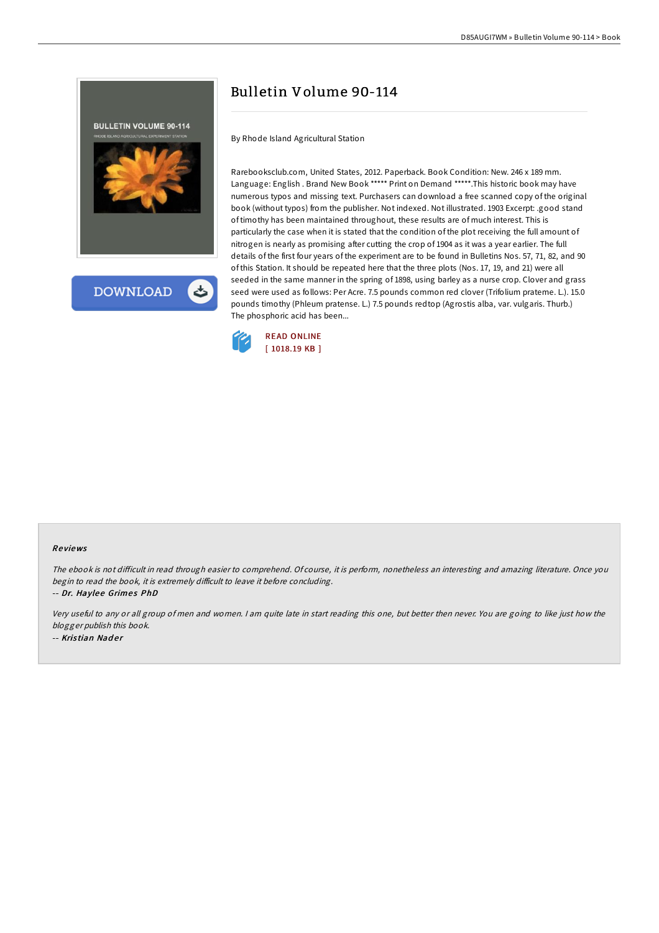



# Bulletin Volume 90-114

By Rhode Island Agricultural Station

Rarebooksclub.com, United States, 2012. Paperback. Book Condition: New. 246 x 189 mm. Language: English . Brand New Book \*\*\*\*\* Print on Demand \*\*\*\*\*.This historic book may have numerous typos and missing text. Purchasers can download a free scanned copy of the original book (without typos) from the publisher. Not indexed. Not illustrated. 1903 Excerpt: .good stand of timothy has been maintained throughout, these results are of much interest. This is particularly the case when it is stated that the condition of the plot receiving the full amount of nitrogen is nearly as promising after cutting the crop of 1904 as it was a year earlier. The full details of the first four years of the experiment are to be found in Bulletins Nos. 57, 71, 82, and 90 of this Station. It should be repeated here that the three plots (Nos. 17, 19, and 21) were all seeded in the same manner in the spring of 1898, using barley as a nurse crop. Clover and grass seed were used as follows: Per Acre. 7.5 pounds common red clover (Trifolium prateme. L.). 15.0 pounds timothy (Phleum pratense. L.) 7.5 pounds redtop (Agrostis alba, var. vulgaris. Thurb.) The phosphoric acid has been...



#### Re views

The ebook is not difficult in read through easier to comprehend. Of course, it is perform, nonetheless an interesting and amazing literature. Once you begin to read the book, it is extremely difficult to leave it before concluding.

-- Dr. Haylee Grimes PhD

Very useful to any or all group of men and women. <sup>I</sup> am quite late in start reading this one, but better then never. You are going to like just how the blogger publish this book. -- Kristian Nader